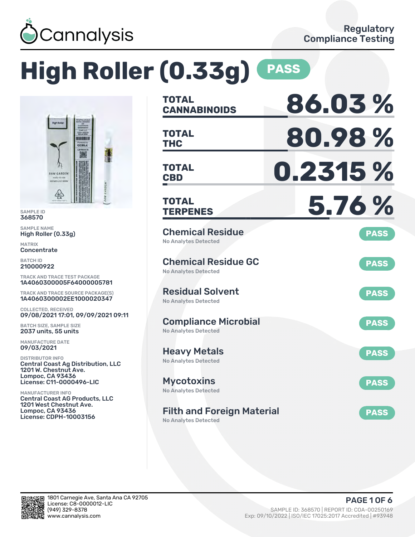

# **High Roller (0.33g) PASS**



SAMPLE ID 368570

SAMPLE NAME High Roller (0.33g)

MATRIX **Concentrate** 

BATCH ID 210000922

TRACK AND TRACE TEST PACKAGE 1A4060300005F64000005781

TRACK AND TRACE SOURCE PACKAGE(S) 1A4060300002EE1000020347

COLLECTED, RECEIVED 09/08/2021 17:01, 09/09/2021 09:11

BATCH SIZE, SAMPLE SIZE 2037 units, 55 units

MANUFACTURE DATE 09/03/2021

DISTRIBUTOR INFO Central Coast Ag Distribution, LLC 1201 W. Chestnut Ave. Lompoc, CA 93436 License: C11-0000496-LIC

MANUFACTURER INFO Central Coast AG Products, LLC 1201 West Chestnut Ave. Lompoc, CA 93436 License: CDPH-10003156

| <b>TOTAL</b><br><b>CANNABINOIDS</b>                              | 86.03%      |
|------------------------------------------------------------------|-------------|
| <b>TOTAL</b><br><b>THC</b>                                       | 80.98%      |
| <b>TOTAL</b><br><b>CBD</b>                                       | 0.2315 %    |
| <b>TOTAL</b><br><b>TERPENES</b>                                  | 5.76 %      |
| <b>Chemical Residue</b><br><b>No Analytes Detected</b>           | <b>PASS</b> |
| <b>Chemical Residue GC</b><br><b>No Analytes Detected</b>        | <b>PASS</b> |
| <b>Residual Solvent</b><br><b>No Analytes Detected</b>           | <b>PASS</b> |
| <b>Compliance Microbial</b><br><b>No Analytes Detected</b>       | <b>PASS</b> |
| <b>Heavy Metals</b><br><b>No Analytes Detected</b>               | <b>PASS</b> |
| <b>Mycotoxins</b><br>No Analytes Detected                        | <b>PASS</b> |
| <b>Filth and Foreign Material</b><br><b>No Analytes Detected</b> | <b>PASS</b> |

in.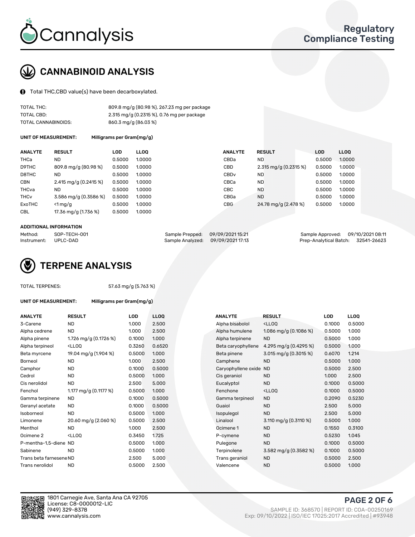

## CANNABINOID ANALYSIS

Total THC,CBD value(s) have been decarboxylated.

| TOTAL THC:          | 809.8 mg/g (80.98 %), 267.23 mg per package  |
|---------------------|----------------------------------------------|
| TOTAL CBD:          | $2.315$ mg/g (0.2315 %), 0.76 mg per package |
| TOTAL CANNABINOIDS: | 860.3 mg/g (86.03 %)                         |

UNIT OF MEASUREMENT: Milligrams per Gram(mg/g)

| <b>ANALYTE</b>         | <b>RESULT</b>           | <b>LOD</b> | <b>LLOO</b> | <b>ANALYTE</b>   | <b>RESULT</b>         | <b>LOD</b> | LL <sub>00</sub> |
|------------------------|-------------------------|------------|-------------|------------------|-----------------------|------------|------------------|
| THCa                   | ND                      | 0.5000     | 1.0000      | CBDa             | ND                    | 0.5000     | 1.0000           |
| D9THC                  | 809.8 mg/g (80.98 %)    | 0.5000     | 1.0000      | CBD              | 2.315 mg/g (0.2315 %) | 0.5000     | 1.0000           |
| D8THC                  | ND                      | 0.5000     | 1.0000      | CBD <sub>v</sub> | <b>ND</b>             | 0.5000     | 1.0000           |
| <b>CBN</b>             | 2.415 mg/g $(0.2415\%)$ | 0.5000     | 1.0000      | CBCa             | <b>ND</b>             | 0.5000     | 1.0000           |
| THCva                  | ND                      | 0.5000     | 1.0000      | CBC              | <b>ND</b>             | 0.5000     | 1.0000           |
| <b>THC<sub>v</sub></b> | 3.586 mg/g (0.3586 %)   | 0.5000     | 1.0000      | CBGa             | <b>ND</b>             | 0.5000     | 1.0000           |
| ExoTHC                 | $<$ 1 mg/g              | 0.5000     | 1.0000      | <b>CBG</b>       | 24.78 mg/g (2.478 %)  | 0.5000     | 1.0000           |
| <b>CBL</b>             | 17.36 mg/g (1.736 %)    | 0.5000     | 1.0000      |                  |                       |            |                  |

#### ADDITIONAL INFORMATION

| Method:     | SOP-TECH-001 | Sample Prepped: 09/09/2021 15:21  | Sample Approved: 09/10/2021 08:11  |  |
|-------------|--------------|-----------------------------------|------------------------------------|--|
| Instrument: | UPLC-DAD     | Sample Analyzed: 09/09/2021 17:13 | Prep-Analytical Batch: 32541-26623 |  |



#### TOTAL TERPENES: 57.63 mg/g (5.763 %)

| UNIT OF MEASUREMENT: | Milligrams per Gram(mg/g) |
|----------------------|---------------------------|
|                      |                           |

| <b>ANALYTE</b>          | <b>RESULT</b>                                                                                                                             | LOD    | <b>LLOO</b> | <b>ANALYTE</b>         | <b>RESULT</b>                                       | LOD    | <b>LLOQ</b> |
|-------------------------|-------------------------------------------------------------------------------------------------------------------------------------------|--------|-------------|------------------------|-----------------------------------------------------|--------|-------------|
| 3-Carene                | <b>ND</b>                                                                                                                                 | 1.000  | 2.500       | Alpha bisabolol        | <lloq< td=""><td>0.1000</td><td>0.5000</td></lloq<> | 0.1000 | 0.5000      |
| Alpha cedrene           | <b>ND</b>                                                                                                                                 | 1.000  | 2.500       | Alpha humulene         | 1.086 mg/g (0.1086 %)                               | 0.5000 | 1.000       |
| Alpha pinene            | 1.726 mg/g (0.1726 %)                                                                                                                     | 0.1000 | 1.000       | Alpha terpinene        | <b>ND</b>                                           | 0.5000 | 1.000       |
| Alpha terpineol         | <lloq< td=""><td>0.3260</td><td>0.6520</td><td>Beta caryophyllene</td><td>4.295 mg/g (0.4295 %)</td><td>0.5000</td><td>1.000</td></lloq<> | 0.3260 | 0.6520      | Beta caryophyllene     | 4.295 mg/g (0.4295 %)                               | 0.5000 | 1.000       |
| Beta myrcene            | 19.04 mg/g (1.904 %)                                                                                                                      | 0.5000 | 1.000       | Beta pinene            | 3.015 mg/g $(0.3015\%)$                             | 0.6070 | 1.214       |
| Borneol                 | <b>ND</b>                                                                                                                                 | 1.000  | 2.500       | Camphene               | <b>ND</b>                                           | 0.5000 | 1.000       |
| Camphor                 | <b>ND</b>                                                                                                                                 | 0.1000 | 0.5000      | Caryophyllene oxide ND |                                                     | 0.5000 | 2.500       |
| Cedrol                  | ND                                                                                                                                        | 0.5000 | 1.000       | Cis geraniol           | <b>ND</b>                                           | 1.000  | 2.500       |
| Cis nerolidol           | ND.                                                                                                                                       | 2.500  | 5.000       | Eucalyptol             | <b>ND</b>                                           | 0.1000 | 0.5000      |
| Fenchol                 | 1.177 mg/g $(0.1177%)$                                                                                                                    | 0.5000 | 1.000       | Fenchone               | <lloq< td=""><td>0.1000</td><td>0.5000</td></lloq<> | 0.1000 | 0.5000      |
| Gamma terpinene         | <b>ND</b>                                                                                                                                 | 0.1000 | 0.5000      | Gamma terpineol        | <b>ND</b>                                           | 0.2090 | 0.5230      |
| Geranyl acetate         | <b>ND</b>                                                                                                                                 | 0.1000 | 0.5000      | Guaiol                 | <b>ND</b>                                           | 2.500  | 5.000       |
| Isoborneol              | <b>ND</b>                                                                                                                                 | 0.5000 | 1.000       | Isopulegol             | <b>ND</b>                                           | 2.500  | 5.000       |
| Limonene                | 20.60 mg/g (2.060 %)                                                                                                                      | 0.5000 | 2.500       | Linalool               | 3.110 mg/g $(0.3110\%)$                             | 0.5000 | 1.000       |
| Menthol                 | ND.                                                                                                                                       | 1.000  | 2.500       | Ocimene 1              | <b>ND</b>                                           | 0.1550 | 0.3100      |
| Ocimene <sub>2</sub>    | <lloq< td=""><td>0.3450</td><td>1.725</td><td>P-cymene</td><td><b>ND</b></td><td>0.5230</td><td>1.045</td></lloq<>                        | 0.3450 | 1.725       | P-cymene               | <b>ND</b>                                           | 0.5230 | 1.045       |
| P-mentha-1.5-diene ND   |                                                                                                                                           | 0.5000 | 1.000       | Pulegone               | <b>ND</b>                                           | 0.1000 | 0.5000      |
| Sabinene                | <b>ND</b>                                                                                                                                 | 0.5000 | 1.000       | Terpinolene            | 3.582 mg/g (0.3582 %)                               | 0.1000 | 0.5000      |
| Trans beta farnesene ND |                                                                                                                                           | 2.500  | 5.000       | Trans geraniol         | <b>ND</b>                                           | 0.5000 | 2.500       |
| Trans nerolidol         | <b>ND</b>                                                                                                                                 | 0.5000 | 2.500       | Valencene              | <b>ND</b>                                           | 0.5000 | 1.000       |

| <b>RESULT</b>                                                                                                                                          | <b>LOD</b> | <b>LLOQ</b> | <b>ANALYTE</b>     | <b>RESULT</b>                                       | <b>LOD</b>             | <b>LLOQ</b> |
|--------------------------------------------------------------------------------------------------------------------------------------------------------|------------|-------------|--------------------|-----------------------------------------------------|------------------------|-------------|
| <b>ND</b>                                                                                                                                              | 1.000      | 2.500       | Alpha bisabolol    | <lloq< td=""><td>0.1000</td><td>0.5000</td></lloq<> | 0.1000                 | 0.5000      |
| <b>ND</b>                                                                                                                                              | 1.000      | 2.500       | Alpha humulene     | 1.086 mg/g $(0.1086\%)$                             | 0.5000                 | 1.000       |
| 1.726 mg/g (0.1726 %)                                                                                                                                  | 0.1000     | 1.000       | Alpha terpinene    | <b>ND</b>                                           | 0.5000                 | 1.000       |
| <lloq< td=""><td>0.3260</td><td>0.6520</td><td>Beta caryophyllene</td><td>4.295 mg/g <math>(0.4295\%)</math></td><td>0.5000</td><td>1.000</td></lloq<> | 0.3260     | 0.6520      | Beta caryophyllene | 4.295 mg/g $(0.4295\%)$                             | 0.5000                 | 1.000       |
| 19.04 mg/g (1.904 %)                                                                                                                                   | 0.5000     | 1.000       | Beta pinene        | 3.015 mg/g $(0.3015\%)$                             | 0.6070                 | 1.214       |
| <b>ND</b>                                                                                                                                              | 1.000      | 2.500       | Camphene           | <b>ND</b>                                           | 0.5000                 | 1.000       |
| <b>ND</b>                                                                                                                                              | 0.1000     | 0.5000      |                    |                                                     | 0.5000                 | 2.500       |
| <b>ND</b>                                                                                                                                              | 0.5000     | 1.000       | Cis geraniol       | <b>ND</b>                                           | 1.000                  | 2.500       |
| <b>ND</b>                                                                                                                                              | 2.500      | 5.000       | Eucalyptol         | <b>ND</b>                                           | 0.1000                 | 0.5000      |
| 1.177 mg/g $(0.1177%)$                                                                                                                                 | 0.5000     | 1.000       | Fenchone           | <lloq< td=""><td>0.1000</td><td>0.5000</td></lloq<> | 0.1000                 | 0.5000      |
| <b>ND</b>                                                                                                                                              | 0.1000     | 0.5000      | Gamma terpineol    | <b>ND</b>                                           | 0.2090                 | 0.5230      |
| ND                                                                                                                                                     | 0.1000     | 0.5000      | Guaiol             | <b>ND</b>                                           | 2.500                  | 5.000       |
| <b>ND</b>                                                                                                                                              | 0.5000     | 1.000       | Isopulegol         | <b>ND</b>                                           | 2.500                  | 5.000       |
| 20.60 mg/g (2.060 %)                                                                                                                                   | 0.5000     | 2.500       | Linalool           | 3.110 mg/g (0.3110 %)                               | 0.5000                 | 1.000       |
| <b>ND</b>                                                                                                                                              | 1.000      | 2.500       | Ocimene 1          | <b>ND</b>                                           | 0.1550                 | 0.3100      |
| <lloq< td=""><td>0.3450</td><td>1.725</td><td>P-cymene</td><td><b>ND</b></td><td>0.5230</td><td>1.045</td></lloq<>                                     | 0.3450     | 1.725       | P-cymene           | <b>ND</b>                                           | 0.5230                 | 1.045       |
| P-mentha-1,5-diene ND                                                                                                                                  | 0.5000     | 1.000       | Pulegone           | <b>ND</b>                                           | 0.1000                 | 0.5000      |
| <b>ND</b>                                                                                                                                              | 0.5000     | 1.000       | Terpinolene        | 3.582 mg/g (0.3582 %)                               | 0.1000                 | 0.5000      |
| Trans beta farnesene ND                                                                                                                                | 2.500      | 5.000       | Trans geraniol     | <b>ND</b>                                           | 0.5000                 | 2.500       |
| <b>ND</b>                                                                                                                                              | 0.5000     | 2.500       | Valencene          | <b>ND</b>                                           | 0.5000                 | 1.000       |
|                                                                                                                                                        |            |             |                    |                                                     | Caryophyllene oxide ND |             |



1801 Carnegie Ave, Santa Ana CA 92705 License: C8-0000012-LIC<br>(949) 329-8378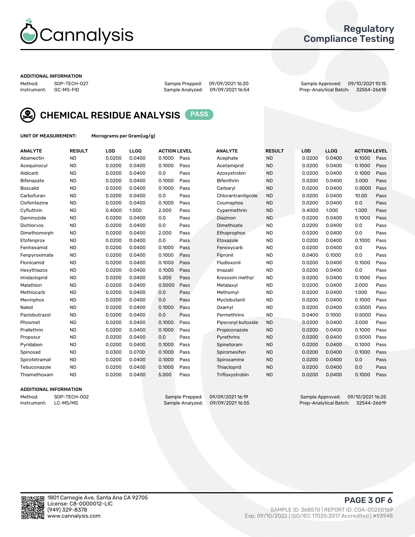

## Regulatory Compliance Testing

#### ADDITIONAL INFORMATION

Sample Analyzed: 09/09/2021 16:54

Method: SOP-TECH-027 Sample Prepped: 09/09/2021 16:20 Sample Approved: 09/10/2021 10:15



CHEMICAL RESIDUE ANALYSIS PASS

UNIT OF MEASUREMENT: Micrograms per Gram(ug/g)

| <b>ANALYTE</b>    | <b>RESULT</b> | LOD    | LL <sub>OO</sub> | <b>ACTION LEVEL</b> |      | <b>ANALYTE</b>      | <b>RESULT</b> | <b>LOD</b> | <b>LLOQ</b> | <b>ACTION LEVEL</b> |      |
|-------------------|---------------|--------|------------------|---------------------|------|---------------------|---------------|------------|-------------|---------------------|------|
| Abamectin         | <b>ND</b>     | 0.0200 | 0.0400           | 0.1000              | Pass | Acephate            | <b>ND</b>     | 0.0200     | 0.0400      | 0.1000              | Pass |
| Acequinocyl       | <b>ND</b>     | 0.0200 | 0.0400           | 0.1000              | Pass | Acetamiprid         | <b>ND</b>     | 0.0200     | 0.0400      | 0.1000              | Pass |
| Aldicarb          | <b>ND</b>     | 0.0200 | 0.0400           | 0.0                 | Pass | Azoxystrobin        | <b>ND</b>     | 0.0200     | 0.0400      | 0.1000              | Pass |
| Bifenazate        | <b>ND</b>     | 0.0200 | 0.0400           | 0.1000              | Pass | <b>Bifenthrin</b>   | <b>ND</b>     | 0.0200     | 0.0400      | 3.000               | Pass |
| <b>Boscalid</b>   | <b>ND</b>     | 0.0200 | 0.0400           | 0.1000              | Pass | Carbaryl            | <b>ND</b>     | 0.0200     | 0.0400      | 0.5000              | Pass |
| Carbofuran        | <b>ND</b>     | 0.0200 | 0.0400           | 0.0                 | Pass | Chlorantraniliprole | <b>ND</b>     | 0.0200     | 0.0400      | 10.00               | Pass |
| Clofentezine      | <b>ND</b>     | 0.0200 | 0.0400           | 0.1000              | Pass | Coumaphos           | <b>ND</b>     | 0.0200     | 0.0400      | 0.0                 | Pass |
| Cyfluthrin        | <b>ND</b>     | 0.4000 | 1.000            | 2.000               | Pass | Cypermethrin        | <b>ND</b>     | 0.4000     | 1.000       | 1.000               | Pass |
| Daminozide        | <b>ND</b>     | 0.0200 | 0.0400           | 0.0                 | Pass | Diazinon            | <b>ND</b>     | 0.0200     | 0.0400      | 0.1000              | Pass |
| <b>Dichlorvos</b> | <b>ND</b>     | 0.0200 | 0.0400           | 0.0                 | Pass | Dimethoate          | <b>ND</b>     | 0.0200     | 0.0400      | 0.0                 | Pass |
| Dimethomorph      | <b>ND</b>     | 0.0200 | 0.0400           | 2.000               | Pass | Ethoprophos         | <b>ND</b>     | 0.0200     | 0.0400      | 0.0                 | Pass |
| Etofenprox        | <b>ND</b>     | 0.0200 | 0.0400           | 0.0                 | Pass | Etoxazole           | <b>ND</b>     | 0.0200     | 0.0400      | 0.1000              | Pass |
| Fenhexamid        | <b>ND</b>     | 0.0200 | 0.0400           | 0.1000              | Pass | Fenoxycarb          | <b>ND</b>     | 0.0200     | 0.0400      | 0.0                 | Pass |
| Fenpyroximate     | <b>ND</b>     | 0.0200 | 0.0400           | 0.1000              | Pass | Fipronil            | <b>ND</b>     | 0.0400     | 0.1000      | 0.0                 | Pass |
| Flonicamid        | <b>ND</b>     | 0.0200 | 0.0400           | 0.1000              | Pass | Fludioxonil         | <b>ND</b>     | 0.0200     | 0.0400      | 0.1000              | Pass |
| Hexythiazox       | <b>ND</b>     | 0.0200 | 0.0400           | 0.1000              | Pass | Imazalil            | <b>ND</b>     | 0.0200     | 0.0400      | 0.0                 | Pass |
| Imidacloprid      | <b>ND</b>     | 0.0200 | 0.0400           | 5.000               | Pass | Kresoxim methyl     | <b>ND</b>     | 0.0200     | 0.0400      | 0.1000              | Pass |
| Malathion         | <b>ND</b>     | 0.0200 | 0.0400           | 0.5000              | Pass | Metalaxyl           | <b>ND</b>     | 0.0200     | 0.0400      | 2.000               | Pass |
| Methiocarb        | <b>ND</b>     | 0.0200 | 0.0400           | 0.0                 | Pass | Methomyl            | <b>ND</b>     | 0.0200     | 0.0400      | 1.000               | Pass |
| Mevinphos         | <b>ND</b>     | 0.0200 | 0.0400           | 0.0                 | Pass | Myclobutanil        | <b>ND</b>     | 0.0200     | 0.0400      | 0.1000              | Pass |
| Naled             | <b>ND</b>     | 0.0200 | 0.0400           | 0.1000              | Pass | Oxamyl              | <b>ND</b>     | 0.0200     | 0.0400      | 0.5000              | Pass |
| Paclobutrazol     | <b>ND</b>     | 0.0200 | 0.0400           | 0.0                 | Pass | Permethrins         | <b>ND</b>     | 0.0400     | 0.1000      | 0.5000              | Pass |
| Phosmet           | <b>ND</b>     | 0.0200 | 0.0400           | 0.1000              | Pass | Piperonyl butoxide  | <b>ND</b>     | 0.0200     | 0.0400      | 3.000               | Pass |
| Prallethrin       | <b>ND</b>     | 0.0200 | 0.0400           | 0.1000              | Pass | Propiconazole       | <b>ND</b>     | 0.0200     | 0.0400      | 0.1000              | Pass |
| Propoxur          | <b>ND</b>     | 0.0200 | 0.0400           | 0.0                 | Pass | Pyrethrins          | <b>ND</b>     | 0.0200     | 0.0400      | 0.5000              | Pass |
| Pyridaben         | <b>ND</b>     | 0.0200 | 0.0400           | 0.1000              | Pass | Spinetoram          | <b>ND</b>     | 0.0200     | 0.0400      | 0.1000              | Pass |
| Spinosad          | <b>ND</b>     | 0.0300 | 0.0700           | 0.1000              | Pass | Spiromesifen        | <b>ND</b>     | 0.0200     | 0.0400      | 0.1000              | Pass |
| Spirotetramat     | <b>ND</b>     | 0.0200 | 0.0400           | 0.1000              | Pass | Spiroxamine         | <b>ND</b>     | 0.0200     | 0.0400      | 0.0                 | Pass |
| Tebuconazole      | <b>ND</b>     | 0.0200 | 0.0400           | 0.1000              | Pass | Thiacloprid         | <b>ND</b>     | 0.0200     | 0.0400      | 0.0                 | Pass |
| Thiamethoxam      | <b>ND</b>     | 0.0200 | 0.0400           | 5.000               | Pass | Trifloxystrobin     | <b>ND</b>     | 0.0200     | 0.0400      | 0.1000              | Pass |
|                   |               |        |                  |                     |      |                     |               |            |             |                     |      |

## ADDITIONAL INFORMATION

Method: SOP-TECH-002 Sample Prepped: 09/09/202116:19 Sample Approved: 09/10/2021 16:25<br>Instrument: LC-MS/MS Sample Analyzed: 09/09/2021 16:55 Prep-Analytical Batch: 32544-26619 Prep-Analytical Batch: 32544-26619

PAGE 3 OF 6

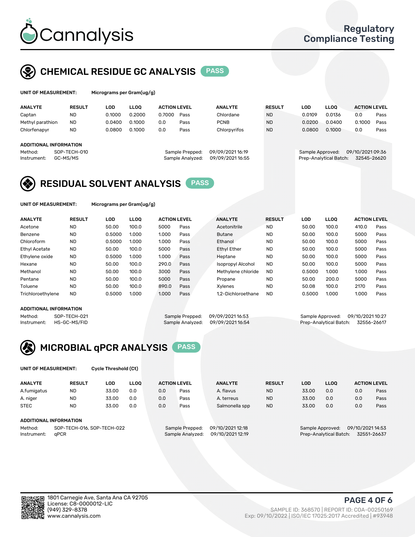

## CHEMICAL RESIDUE GC ANALYSIS PASS

icrograms per Gram(ug/g)

| <b>ANALYTE</b>                                   | <b>RESULT</b>            | LOD.   | <b>LLOO</b> | <b>ACTION LEVEL</b> |                                     | <b>ANALYTE</b>                      | <b>RESULT</b> | <b>LOD</b> | <b>LLOO</b>                                | <b>ACTION LEVEL</b>             |      |
|--------------------------------------------------|--------------------------|--------|-------------|---------------------|-------------------------------------|-------------------------------------|---------------|------------|--------------------------------------------|---------------------------------|------|
| Captan                                           | <b>ND</b>                | 0.1000 | 0.2000      | 0.7000              | Pass                                | Chlordane                           | <b>ND</b>     | 0.0109     | 0.0136                                     | 0.0                             | Pass |
| Methyl parathion                                 | <b>ND</b>                | 0.0400 | 0.1000      | 0.0                 | Pass                                | <b>PCNB</b>                         | <b>ND</b>     | 0.0200     | 0.0400                                     | 0.1000                          | Pass |
| Chlorfenapyr                                     | <b>ND</b>                | 0.0800 | 0.1000      | 0.0                 | Pass                                | Chlorpyrifos                        | <b>ND</b>     | 0.0800     | 0.1000                                     | 0.0                             | Pass |
| ADDITIONAL INFORMATION<br>Method:<br>Instrument: | SOP-TECH-010<br>GC-MS/MS |        |             |                     | Sample Prepped:<br>Sample Analyzed: | 09/09/202116:19<br>09/09/2021 16:55 |               |            | Sample Approved:<br>Prep-Analytical Batch: | 09/10/2021 09:36<br>32545-26620 |      |

## RESIDUAL SOLVENT ANALYSIS PASS

UNIT OF MEASUREMENT: Micrograms per Gram(ug/g)

| <b>ANALYTE</b>       | <b>RESULT</b> | LOD    | <b>LLOO</b> | <b>ACTION LEVEL</b> |      | <b>ANALYTE</b>           | <b>RESULT</b> | LOD    | LLOO  | <b>ACTION LEVEL</b> |      |
|----------------------|---------------|--------|-------------|---------------------|------|--------------------------|---------------|--------|-------|---------------------|------|
| Acetone              | <b>ND</b>     | 50.00  | 100.0       | 5000                | Pass | Acetonitrile             | <b>ND</b>     | 50.00  | 100.0 | 410.0               | Pass |
| Benzene              | <b>ND</b>     | 0.5000 | 1.000       | 1.000               | Pass | <b>Butane</b>            | <b>ND</b>     | 50.00  | 100.0 | 5000                | Pass |
| Chloroform           | <b>ND</b>     | 0.5000 | 1.000       | 1.000               | Pass | Ethanol                  | <b>ND</b>     | 50.00  | 100.0 | 5000                | Pass |
| <b>Ethyl Acetate</b> | <b>ND</b>     | 50.00  | 100.0       | 5000                | Pass | <b>Ethyl Ether</b>       | <b>ND</b>     | 50.00  | 100.0 | 5000                | Pass |
| Ethylene oxide       | <b>ND</b>     | 0.5000 | 1.000       | 1.000               | Pass | Heptane                  | <b>ND</b>     | 50.00  | 100.0 | 5000                | Pass |
| Hexane               | <b>ND</b>     | 50.00  | 100.0       | 290.0               | Pass | <b>Isopropyl Alcohol</b> | <b>ND</b>     | 50.00  | 100.0 | 5000                | Pass |
| Methanol             | <b>ND</b>     | 50.00  | 100.0       | 3000                | Pass | Methylene chloride       | <b>ND</b>     | 0.5000 | 1.000 | 1.000               | Pass |
| Pentane              | <b>ND</b>     | 50.00  | 100.0       | 5000                | Pass | Propane                  | <b>ND</b>     | 50.00  | 200.0 | 5000                | Pass |
| Toluene              | <b>ND</b>     | 50.00  | 100.0       | 890.0               | Pass | Xvlenes                  | <b>ND</b>     | 50.08  | 100.0 | 2170                | Pass |
| Trichloroethylene    | <b>ND</b>     | 0.5000 | 1.000       | 1.000               | Pass | 1.2-Dichloroethane       | <b>ND</b>     | 0.5000 | 1.000 | 1.000               | Pass |

## ADDITIONAL INFORMATION

Method: SOP-TECH-021 Sample Prepped: 09/09/202116:53 Sample Approved: 09/10/2021 10:27<br>Sample Analyzed: 09/09/202116:54 Prep-Analytical Batch: 32556-26617 Prep-Analytical Batch: 32556-26617



UNIT OF MEASUREMENT: Cycle Threshold (Ct)

| <b>ANALYTE</b>                        | <b>RESULT</b> | LOD   | <b>LLOO</b> |                 | <b>ACTION LEVEL</b> | <b>ANALYTE</b>   | <b>RESULT</b> | LOD                                  | <b>LLOO</b>            |     | <b>ACTION LEVEL</b> |
|---------------------------------------|---------------|-------|-------------|-----------------|---------------------|------------------|---------------|--------------------------------------|------------------------|-----|---------------------|
| A.fumigatus                           | <b>ND</b>     | 33.00 | 0.0         | 0.0             | Pass                | A. flavus        | <b>ND</b>     | 33.00                                | 0.0                    | 0.0 | Pass                |
| A. niger                              | <b>ND</b>     | 33.00 | 0.0         | 0.0             | Pass                | A. terreus       | <b>ND</b>     | 33.00                                | 0.0                    | 0.0 | Pass                |
| <b>STEC</b>                           | <b>ND</b>     | 33.00 | 0.0         | 0.0             | Pass                | Salmonella spp   | <b>ND</b>     | 33.00                                | 0.0                    | 0.0 | Pass                |
| ADDITIONAL INFORMATION                |               |       |             |                 |                     |                  |               |                                      |                        |     |                     |
| SOP-TECH-016, SOP-TECH-022<br>Method: |               |       |             | Sample Prepped: | 09/10/2021 12:18    |                  |               | 09/10/2021 14:53<br>Sample Approved: |                        |     |                     |
| Instrument:                           | aPCR          |       |             |                 | Sample Analyzed:    | 09/10/2021 12:19 |               |                                      | Prep-Analytical Batch: |     | 32551-26637         |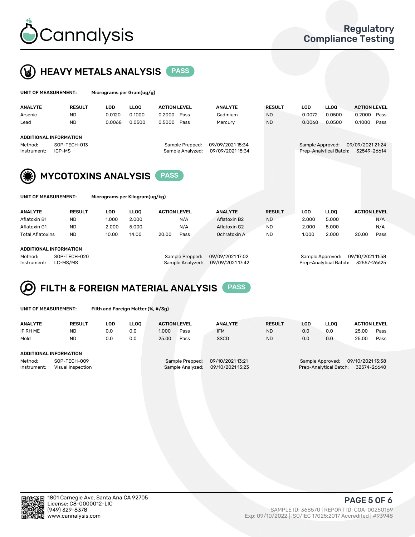



| UNIT OF MEASUREMENT:          |                            | Micrograms per Gram(ug/g) |             |                     |                                     |                                      |               |                  |                        |                                 |      |
|-------------------------------|----------------------------|---------------------------|-------------|---------------------|-------------------------------------|--------------------------------------|---------------|------------------|------------------------|---------------------------------|------|
| <b>ANALYTE</b>                | <b>RESULT</b>              | <b>LOD</b>                | <b>LLOO</b> | <b>ACTION LEVEL</b> |                                     | <b>ANALYTE</b>                       | <b>RESULT</b> | <b>LOD</b>       | <b>LLOO</b>            | <b>ACTION LEVEL</b>             |      |
| Arsenic                       | <b>ND</b>                  | 0.0120                    | 0.1000      | 0.2000              | Pass                                | Cadmium                              | <b>ND</b>     | 0.0072           | 0.0500                 | 0.2000                          | Pass |
| Lead                          | <b>ND</b>                  | 0.0068                    | 0.0500      | 0.5000              | Pass                                | Mercury                              | <b>ND</b>     | 0.0060           | 0.0500                 | 0.1000                          | Pass |
| <b>ADDITIONAL INFORMATION</b> |                            |                           |             |                     |                                     |                                      |               |                  |                        |                                 |      |
| Method:<br>Instrument:        | SOP-TECH-013<br>ICP-MS     |                           |             |                     | Sample Prepped:<br>Sample Analyzed: | 09/09/2021 15:34<br>09/09/2021 15:34 |               | Sample Approved: | Prep-Analytical Batch: | 09/09/2021 21:24<br>32549-26614 |      |
| (*)                           | <b>MYCOTOXINS ANALYSIS</b> |                           |             | <b>PASS</b>         |                                     |                                      |               |                  |                        |                                 |      |

UNIT OF MEASUREMENT: Micrograms per Kilogram(ug/kg)

| <b>ANALYTE</b>          | <b>RESULT</b> | LOD   | <b>LLOO</b> | <b>ACTION LEVEL</b> |      | <b>ANALYTE</b> | <b>RESULT</b> | LOD   | <b>LLOO</b> | <b>ACTION LEVEL</b> |      |
|-------------------------|---------------|-------|-------------|---------------------|------|----------------|---------------|-------|-------------|---------------------|------|
| Aflatoxin B1            | <b>ND</b>     | 1.000 | 2.000       |                     | N/A  | Aflatoxin B2   | <b>ND</b>     | 2.000 | 5.000       |                     | N/A  |
| Aflatoxin G1            | <b>ND</b>     | 2.000 | 5.000       |                     | N/A  | Aflatoxin G2   | <b>ND</b>     | 2.000 | 5.000       |                     | N/A  |
| <b>Total Aflatoxins</b> | <b>ND</b>     | 10.00 | 14.00       | 20.00               | Pass | Ochratoxin A   | <b>ND</b>     | 1.000 | 2.000       | 20.00               | Pass |
|                         |               |       |             |                     |      |                |               |       |             |                     |      |

#### ADDITIONAL INFORMATION

Method: SOP-TECH-020 Sample Prepped: 09/09/2021 17:02 Sample Approved: 09/10/2021 11:58 Instrument: LC-MS/MS Sample Analyzed: 09/09/2021 17:42 Prep-Analytical Batch: 32557-26625

## FILTH & FOREIGN MATERIAL ANALYSIS PASS

UNIT OF MEASUREMENT: Filth and Foreign Matter (%, #/3g)

| <b>ANALYTE</b>                                              | <b>RESULT</b> | LOD | <b>LLOO</b> | <b>ACTION LEVEL</b> |                                     | <b>ANALYTE</b>                       | <b>RESULT</b> | <b>LLOO</b><br>LOD |     | <b>ACTION LEVEL</b>                                                           |      |  |  |
|-------------------------------------------------------------|---------------|-----|-------------|---------------------|-------------------------------------|--------------------------------------|---------------|--------------------|-----|-------------------------------------------------------------------------------|------|--|--|
| IF RH ME                                                    | <b>ND</b>     | 0.0 | 0.0         | 1.000               | Pass                                | <b>IFM</b>                           | <b>ND</b>     | 0.0                | 0.0 | 25.00                                                                         | Pass |  |  |
| Mold                                                        | <b>ND</b>     | 0.0 | 0.0         | 25.00               | Pass                                | <b>SSCD</b>                          | <b>ND</b>     | 0.0                | 0.0 | 25.00                                                                         | Pass |  |  |
| ADDITIONAL INFORMATION                                      |               |     |             |                     |                                     |                                      |               |                    |     |                                                                               |      |  |  |
| Method:<br>SOP-TECH-009<br>Instrument:<br>Visual Inspection |               |     |             |                     | Sample Prepped:<br>Sample Analyzed: | 09/10/2021 13:21<br>09/10/2021 13:23 |               |                    |     | 09/10/2021 13:38<br>Sample Approved:<br>Prep-Analytical Batch:<br>32574-26640 |      |  |  |



PAGE 5 OF 6